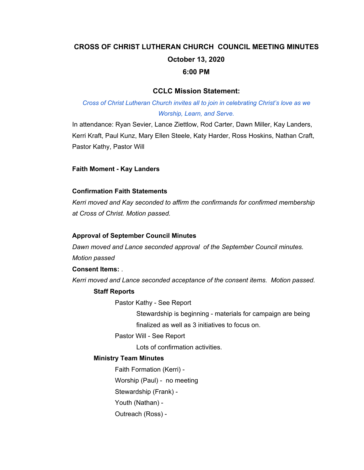# **CROSS OF CHRIST LUTHERAN CHURCH COUNCIL MEETING MINUTES October 13, 2020 6:00 PM**

## **CCLC Mission Statement:**

*Cross of Christ Lutheran Church invites all to join in celebrating Christ's love as we Worship, Learn, and Serve.*

In attendance: Ryan Sevier, Lance Ziettlow, Rod Carter, Dawn Miller, Kay Landers, Kerri Kraft, Paul Kunz, Mary Ellen Steele, Katy Harder, Ross Hoskins, Nathan Craft, Pastor Kathy, Pastor Will

## **Faith Moment - Kay Landers**

#### **Confirmation Faith Statements**

*Kerri moved and Kay seconded to affirm the confirmands for confirmed membership at Cross of Christ. Motion passed.*

#### **Approval of September Council Minutes**

*Dawn moved and Lance seconded approval of the September Council minutes. Motion passed*

**Consent Items:** .

*Kerri moved and Lance seconded acceptance of the consent items. Motion passed.*

## **Staff Reports**

Pastor Kathy - See Report

Stewardship is beginning - materials for campaign are being finalized as well as 3 initiatives to focus on.

Pastor Will - See Report

Lots of confirmation activities.

## **Ministry Team Minutes**

Faith Formation (Kerri) - Worship (Paul) - no meeting Stewardship (Frank) - Youth (Nathan) - Outreach (Ross) -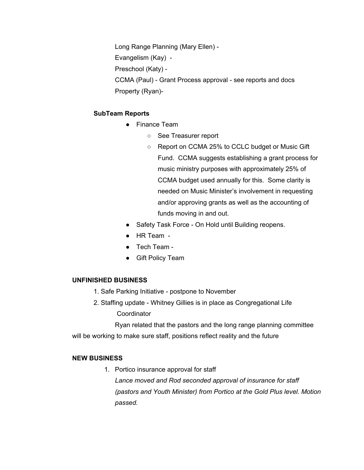Long Range Planning (Mary Ellen) - Evangelism (Kay) - Preschool (Katy) - CCMA (Paul) - Grant Process approval - see reports and docs Property (Ryan)-

## **SubTeam Reports**

- Finance Team
	- See Treasurer report
	- Report on CCMA 25% to CCLC budget or Music Gift Fund. CCMA suggests establishing a grant process for music ministry purposes with approximately 25% of CCMA budget used annually for this. Some clarity is needed on Music Minister's involvement in requesting and/or approving grants as well as the accounting of funds moving in and out.
- Safety Task Force On Hold until Building reopens.
- HR Team -
- Tech Team -
- Gift Policy Team

## **UNFINISHED BUSINESS**

- 1. Safe Parking Initiative postpone to November
- 2. Staffing update Whitney Gillies is in place as Congregational Life **Coordinator**

Ryan related that the pastors and the long range planning committee will be working to make sure staff, positions reflect reality and the future

## **NEW BUSINESS**

1. Portico insurance approval for staff *Lance moved and Rod seconded approval of insurance for staff (pastors and Youth Minister) from Portico at the Gold Plus level. Motion passed.*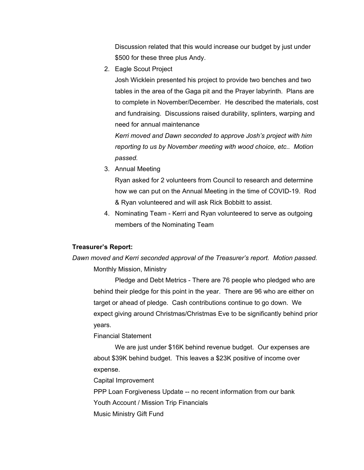Discussion related that this would increase our budget by just under \$500 for these three plus Andy.

2. Eagle Scout Project

Josh Wicklein presented his project to provide two benches and two tables in the area of the Gaga pit and the Prayer labyrinth. Plans are to complete in November/December. He described the materials, cost and fundraising. Discussions raised durability, splinters, warping and need for annual maintenance

*Kerri moved and Dawn seconded to approve Josh's project with him reporting to us by November meeting with wood choice, etc.. Motion passed.*

3. Annual Meeting

Ryan asked for 2 volunteers from Council to research and determine how we can put on the Annual Meeting in the time of COVID-19. Rod & Ryan volunteered and will ask Rick Bobbitt to assist.

4. Nominating Team - Kerri and Ryan volunteered to serve as outgoing members of the Nominating Team

## **Treasurer's Report:**

*Dawn moved and Kerri seconded approval of the Treasurer's report. Motion passed.* Monthly Mission, Ministry

Pledge and Debt Metrics - There are 76 people who pledged who are behind their pledge for this point in the year. There are 96 who are either on target or ahead of pledge. Cash contributions continue to go down. We expect giving around Christmas/Christmas Eve to be significantly behind prior years.

Financial Statement

We are just under \$16K behind revenue budget. Our expenses are about \$39K behind budget. This leaves a \$23K positive of income over expense.

Capital Improvement

PPP Loan Forgiveness Update -- no recent information from our bank

Youth Account / Mission Trip Financials

Music Ministry Gift Fund